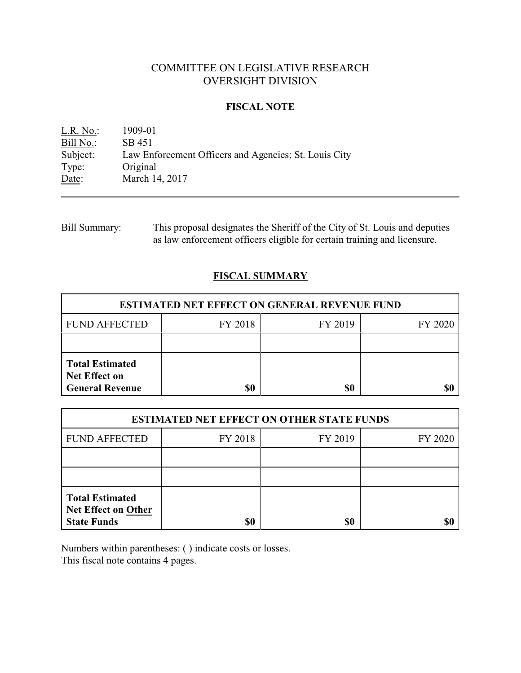# COMMITTEE ON LEGISLATIVE RESEARCH OVERSIGHT DIVISION

## **FISCAL NOTE**

L.R. No.: 1909-01 Bill No.: SB 451<br>Subject: Law En Law Enforcement Officers and Agencies; St. Louis City Type: Original Date: March 14, 2017

Bill Summary: This proposal designates the Sheriff of the City of St. Louis and deputies as law enforcement officers eligible for certain training and licensure.

# **FISCAL SUMMARY**

| <b>ESTIMATED NET EFFECT ON GENERAL REVENUE FUND</b>                      |         |         |         |  |
|--------------------------------------------------------------------------|---------|---------|---------|--|
| <b>FUND AFFECTED</b>                                                     | FY 2018 | FY 2019 | FY 2020 |  |
|                                                                          |         |         |         |  |
| <b>Total Estimated</b><br><b>Net Effect on</b><br><b>General Revenue</b> | \$0     | \$0     |         |  |

| <b>ESTIMATED NET EFFECT ON OTHER STATE FUNDS</b>                           |         |         |         |  |
|----------------------------------------------------------------------------|---------|---------|---------|--|
| <b>FUND AFFECTED</b>                                                       | FY 2018 | FY 2019 | FY 2020 |  |
|                                                                            |         |         |         |  |
|                                                                            |         |         |         |  |
| <b>Total Estimated</b><br><b>Net Effect on Other</b><br><b>State Funds</b> | \$0     | \$0     |         |  |

Numbers within parentheses: ( ) indicate costs or losses. This fiscal note contains 4 pages.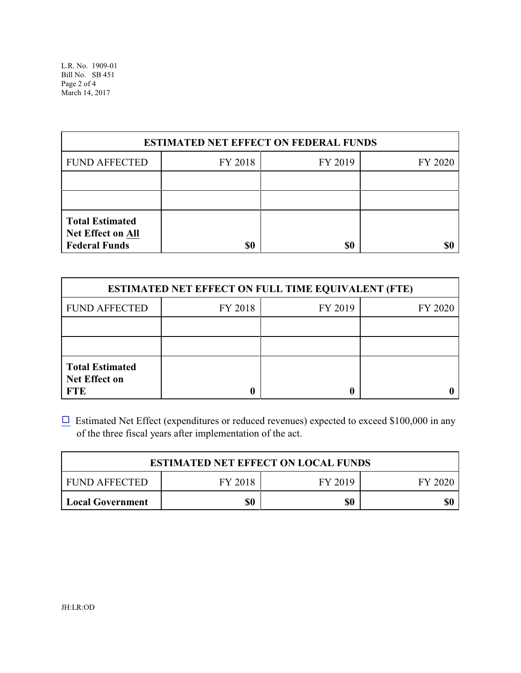L.R. No. 1909-01 Bill No. SB 451 Page 2 of 4 March 14, 2017

| <b>ESTIMATED NET EFFECT ON FEDERAL FUNDS</b>                        |         |         |         |  |
|---------------------------------------------------------------------|---------|---------|---------|--|
| <b>FUND AFFECTED</b>                                                | FY 2018 | FY 2019 | FY 2020 |  |
|                                                                     |         |         |         |  |
|                                                                     |         |         |         |  |
| <b>Total Estimated</b><br>Net Effect on All<br><b>Federal Funds</b> | \$0     | \$0     |         |  |

| <b>ESTIMATED NET EFFECT ON FULL TIME EQUIVALENT (FTE)</b>    |         |         |         |  |
|--------------------------------------------------------------|---------|---------|---------|--|
| <b>FUND AFFECTED</b>                                         | FY 2018 | FY 2019 | FY 2020 |  |
|                                                              |         |         |         |  |
|                                                              |         |         |         |  |
| <b>Total Estimated</b><br><b>Net Effect on</b><br><b>FTE</b> |         |         |         |  |

 $\Box$  Estimated Net Effect (expenditures or reduced revenues) expected to exceed \$100,000 in any of the three fiscal years after implementation of the act.

| <b>ESTIMATED NET EFFECT ON LOCAL FUNDS</b> |         |         |         |  |
|--------------------------------------------|---------|---------|---------|--|
| FUND AFFECTED                              | FY 2018 | FY 2019 | FY 2020 |  |
| <b>Local Government</b>                    | \$0     | \$0     | \$0     |  |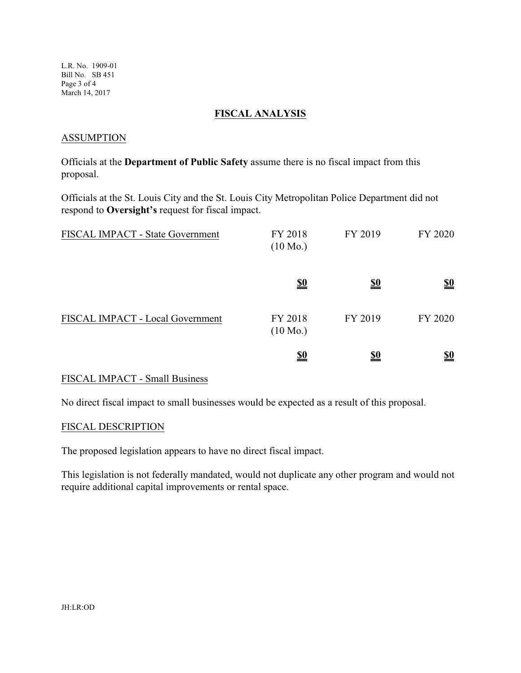L.R. No. 1909-01 Bill No. SB 451 Page 3 of 4 March 14, 2017

## **FISCAL ANALYSIS**

### **ASSUMPTION**

Officials at the **Department of Public Safety** assume there is no fiscal impact from this proposal.

Officials at the St. Louis City and the St. Louis City Metropolitan Police Department did not respond to **Oversight's** request for fiscal impact.

| FISCAL IMPACT - State Government | FY 2018<br>$(10 \text{ Mo.})$ | FY 2019    | FY 2020                       |
|----------------------------------|-------------------------------|------------|-------------------------------|
|                                  | <u>\$0</u>                    | <u>\$0</u> | $\underline{\underline{\$0}}$ |
| FISCAL IMPACT - Local Government | FY 2018<br>$(10 \text{ Mo.})$ | FY 2019    | FY 2020                       |
|                                  | <u>\$0</u>                    | <u>\$0</u> | $\underline{\underline{\$0}}$ |

## FISCAL IMPACT - Small Business

No direct fiscal impact to small businesses would be expected as a result of this proposal.

#### FISCAL DESCRIPTION

The proposed legislation appears to have no direct fiscal impact.

This legislation is not federally mandated, would not duplicate any other program and would not require additional capital improvements or rental space.